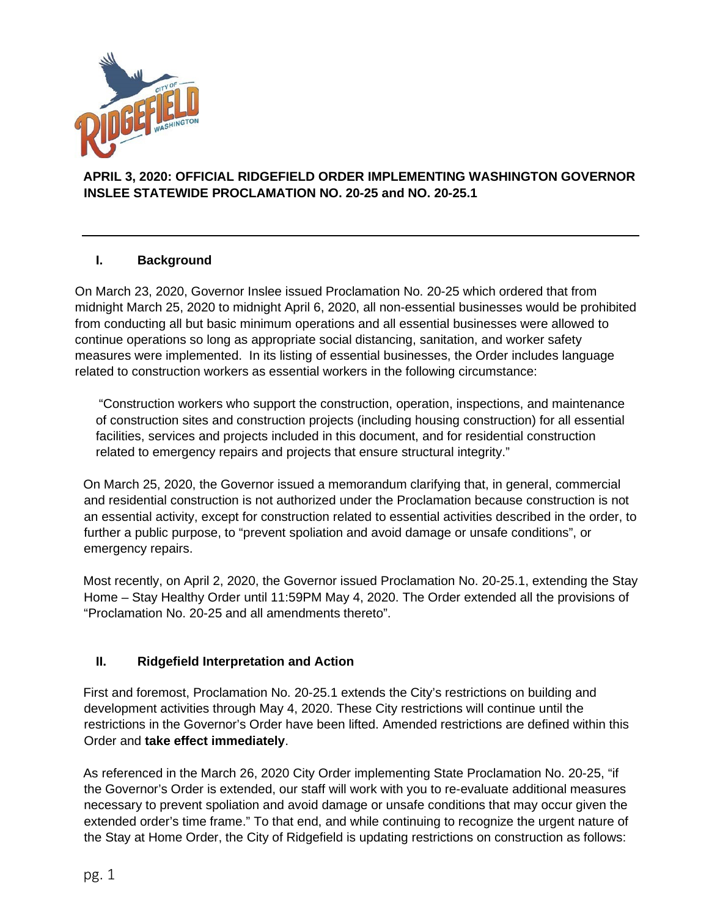

## **APRIL 3, 2020: OFFICIAL RIDGEFIELD ORDER IMPLEMENTING WASHINGTON GOVERNOR INSLEE STATEWIDE PROCLAMATION NO. 20-25 and NO. 20-25.1**

## **I. Background**

On March 23, 2020, Governor Inslee issued Proclamation No. 20-25 which ordered that from midnight March 25, 2020 to midnight April 6, 2020, all non-essential businesses would be prohibited from conducting all but basic minimum operations and all essential businesses were allowed to continue operations so long as appropriate social distancing, sanitation, and worker safety measures were implemented. In its listing of essential businesses, the Order includes language related to construction workers as essential workers in the following circumstance:

"Construction workers who support the construction, operation, inspections, and maintenance of construction sites and construction projects (including housing construction) for all essential facilities, services and projects included in this document, and for residential construction related to emergency repairs and projects that ensure structural integrity."

On March 25, 2020, the Governor issued a memorandum clarifying that, in general, commercial and residential construction is not authorized under the Proclamation because construction is not an essential activity, except for construction related to essential activities described in the order, to further a public purpose, to "prevent spoliation and avoid damage or unsafe conditions", or emergency repairs.

Most recently, on April 2, 2020, the Governor issued Proclamation No. 20-25.1, extending the Stay Home – Stay Healthy Order until 11:59PM May 4, 2020. The Order extended all the provisions of "Proclamation No. 20-25 and all amendments thereto".

## **II. Ridgefield Interpretation and Action**

First and foremost, Proclamation No. 20-25.1 extends the City's restrictions on building and development activities through May 4, 2020. These City restrictions will continue until the restrictions in the Governor's Order have been lifted. Amended restrictions are defined within this Order and **take effect immediately**.

As referenced in the March 26, 2020 City Order implementing State Proclamation No. 20-25, "if the Governor's Order is extended, our staff will work with you to re-evaluate additional measures necessary to prevent spoliation and avoid damage or unsafe conditions that may occur given the extended order's time frame." To that end, and while continuing to recognize the urgent nature of the Stay at Home Order, the City of Ridgefield is updating restrictions on construction as follows: